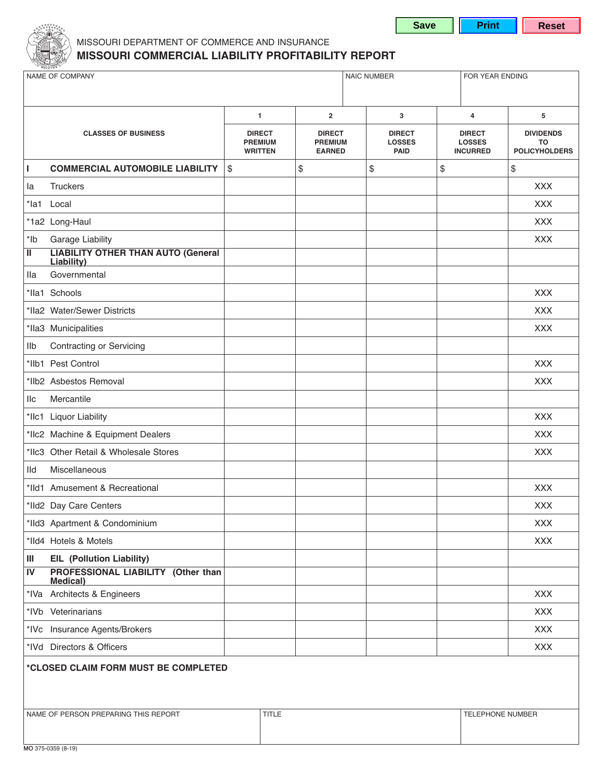

### MISSOURI DEPARTMENT OF COMMERCE AND INSURANCE MISSOURI COMMERCIAL LIABILITY PROFITABILITY REPORT

| NAME OF COMPANY                      |                                                                 |                                                   | <b>NAIC NUMBER</b><br>FOR YEAR ENDING            |                                               |    |                                                   |                                                |
|--------------------------------------|-----------------------------------------------------------------|---------------------------------------------------|--------------------------------------------------|-----------------------------------------------|----|---------------------------------------------------|------------------------------------------------|
|                                      |                                                                 |                                                   |                                                  |                                               |    |                                                   |                                                |
|                                      |                                                                 | $\blacksquare$                                    | $\overline{2}$                                   | 3                                             |    | $\overline{4}$                                    | 5                                              |
|                                      | <b>CLASSES OF BUSINESS</b>                                      | <b>DIRECT</b><br><b>PREMIUM</b><br><b>WRITTEN</b> | <b>DIRECT</b><br><b>PREMIUM</b><br><b>EARNED</b> | <b>DIRECT</b><br><b>LOSSES</b><br><b>PAID</b> |    | <b>DIRECT</b><br><b>LOSSES</b><br><b>INCURRED</b> | <b>DIVIDENDS</b><br>TO<br><b>POLICYHOLDERS</b> |
| L                                    | <b>COMMERCIAL AUTOMOBILE LIABILITY</b>                          | $\$\$                                             | \$                                               | \$                                            | \$ |                                                   | \$                                             |
| la                                   | <b>Truckers</b>                                                 |                                                   |                                                  |                                               |    |                                                   | <b>XXX</b>                                     |
|                                      | *la1 Local                                                      |                                                   |                                                  |                                               |    |                                                   | <b>XXX</b>                                     |
|                                      | *1a2 Long-Haul                                                  |                                                   |                                                  |                                               |    |                                                   | <b>XXX</b>                                     |
| $*$ lb                               | <b>Garage Liability</b>                                         |                                                   |                                                  |                                               |    |                                                   | <b>XXX</b>                                     |
| π                                    | <b>LIABILITY OTHER THAN AUTO (General</b><br><b>Liability</b> ) |                                                   |                                                  |                                               |    |                                                   |                                                |
| Ila                                  | Governmental                                                    |                                                   |                                                  |                                               |    |                                                   |                                                |
|                                      | *lla1 Schools                                                   |                                                   |                                                  |                                               |    |                                                   | <b>XXX</b>                                     |
|                                      | *Ila2 Water/Sewer Districts                                     |                                                   |                                                  |                                               |    |                                                   | <b>XXX</b>                                     |
|                                      | *Ila3 Municipalities                                            |                                                   |                                                  |                                               |    |                                                   | <b>XXX</b>                                     |
| Ilb                                  | Contracting or Servicing                                        |                                                   |                                                  |                                               |    |                                                   |                                                |
|                                      | *Ilb1 Pest Control                                              |                                                   |                                                  |                                               |    |                                                   | XXX                                            |
|                                      | *Ilb2 Asbestos Removal                                          |                                                   |                                                  |                                               |    |                                                   | <b>XXX</b>                                     |
| <b>IIc</b>                           | Mercantile                                                      |                                                   |                                                  |                                               |    |                                                   |                                                |
|                                      | *Ilc1 Liquor Liability                                          |                                                   |                                                  |                                               |    |                                                   | <b>XXX</b>                                     |
|                                      | *Ilc2 Machine & Equipment Dealers                               |                                                   |                                                  |                                               |    |                                                   | <b>XXX</b>                                     |
|                                      | *IIc3 Other Retail & Wholesale Stores                           |                                                   |                                                  |                                               |    |                                                   | <b>XXX</b>                                     |
| IId                                  | Miscellaneous                                                   |                                                   |                                                  |                                               |    |                                                   |                                                |
|                                      | *Ild1 Amusement & Recreational                                  |                                                   |                                                  |                                               |    |                                                   | <b>XXX</b>                                     |
|                                      | *Ild2 Day Care Centers                                          |                                                   |                                                  |                                               |    |                                                   | <b>XXX</b>                                     |
|                                      | *IId3 Apartment & Condominium                                   |                                                   |                                                  |                                               |    |                                                   | <b>XXX</b>                                     |
|                                      | *IId4 Hotels & Motels                                           |                                                   |                                                  |                                               |    |                                                   | <b>XXX</b>                                     |
| $\ensuremath{\mathsf{III}}\xspace$   | <b>EIL</b> (Pollution Liability)                                |                                                   |                                                  |                                               |    |                                                   |                                                |
| IV                                   | PROFESSIONAL LIABILITY (Other than<br><b>Medical</b> )          |                                                   |                                                  |                                               |    |                                                   |                                                |
|                                      | *IVa Architects & Engineers                                     |                                                   |                                                  |                                               |    |                                                   | <b>XXX</b>                                     |
|                                      | *IVb Veterinarians                                              |                                                   |                                                  |                                               |    |                                                   | <b>XXX</b>                                     |
|                                      | *IVc Insurance Agents/Brokers                                   |                                                   |                                                  |                                               |    |                                                   | <b>XXX</b>                                     |
|                                      | *IVd Directors & Officers                                       |                                                   |                                                  |                                               |    |                                                   | <b>XXX</b>                                     |
| *CLOSED CLAIM FORM MUST BE COMPLETED |                                                                 |                                                   |                                                  |                                               |    |                                                   |                                                |
|                                      |                                                                 |                                                   |                                                  |                                               |    |                                                   |                                                |
|                                      |                                                                 |                                                   |                                                  |                                               |    |                                                   |                                                |
|                                      | NAME OF PERSON PREPARING THIS REPORT                            |                                                   | <b>TITLE</b>                                     |                                               |    | TELEPHONE NUMBER                                  |                                                |
|                                      |                                                                 |                                                   |                                                  |                                               |    |                                                   |                                                |

**Save** 

Print

**Reset**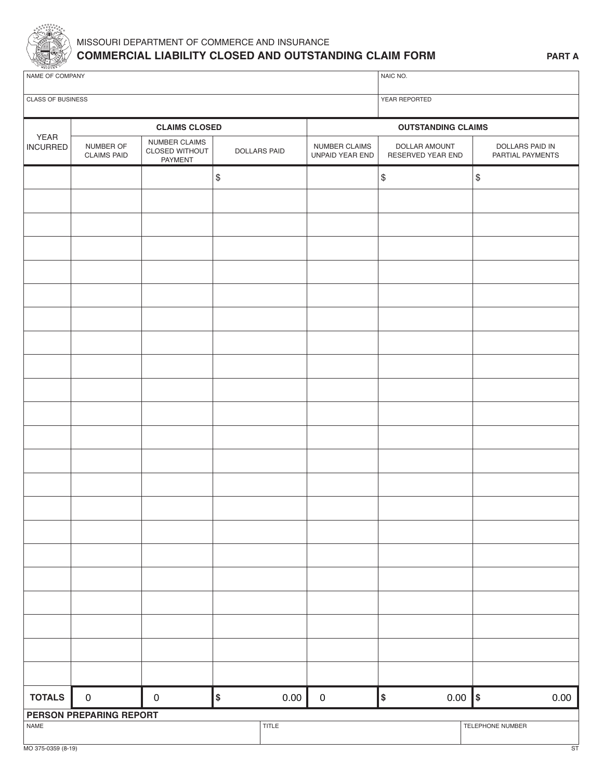

## MISSOURI DEPARTMENT OF COMMERCE AND INSURANCE **COMMERCIAL LIABILITY CLOSED AND OUTSTANDING CLAIM FORM**

| NAME OF COMPANY                |                                 |                                            |                     |       | NAIC NO.                         |                                           |                                     |  |  |
|--------------------------------|---------------------------------|--------------------------------------------|---------------------|-------|----------------------------------|-------------------------------------------|-------------------------------------|--|--|
| CLASS OF BUSINESS              |                                 |                                            |                     |       | YEAR REPORTED                    |                                           |                                     |  |  |
|                                | <b>CLAIMS CLOSED</b>            |                                            |                     |       | <b>OUTSTANDING CLAIMS</b>        |                                           |                                     |  |  |
| <b>YEAR</b><br><b>INCURRED</b> | NUMBER OF<br><b>CLAIMS PAID</b> | NUMBER CLAIMS<br>CLOSED WITHOUT<br>PAYMENT | <b>DOLLARS PAID</b> |       | NUMBER CLAIMS<br>UNPAID YEAR END | DOLLAR AMOUNT<br>RESERVED YEAR END        | DOLLARS PAID IN<br>PARTIAL PAYMENTS |  |  |
|                                |                                 |                                            | $\$$                |       |                                  | $\, \, \raisebox{12pt}{$\scriptstyle \$}$ | \$                                  |  |  |
|                                |                                 |                                            |                     |       |                                  |                                           |                                     |  |  |
|                                |                                 |                                            |                     |       |                                  |                                           |                                     |  |  |
|                                |                                 |                                            |                     |       |                                  |                                           |                                     |  |  |
|                                |                                 |                                            |                     |       |                                  |                                           |                                     |  |  |
|                                |                                 |                                            |                     |       |                                  |                                           |                                     |  |  |
|                                |                                 |                                            |                     |       |                                  |                                           |                                     |  |  |
|                                |                                 |                                            |                     |       |                                  |                                           |                                     |  |  |
|                                |                                 |                                            |                     |       |                                  |                                           |                                     |  |  |
|                                |                                 |                                            |                     |       |                                  |                                           |                                     |  |  |
|                                |                                 |                                            |                     |       |                                  |                                           |                                     |  |  |
|                                |                                 |                                            |                     |       |                                  |                                           |                                     |  |  |
|                                |                                 |                                            |                     |       |                                  |                                           |                                     |  |  |
|                                |                                 |                                            |                     |       |                                  |                                           |                                     |  |  |
|                                |                                 |                                            |                     |       |                                  |                                           |                                     |  |  |
|                                |                                 |                                            |                     |       |                                  |                                           |                                     |  |  |
|                                |                                 |                                            |                     |       |                                  |                                           |                                     |  |  |
|                                |                                 |                                            |                     |       |                                  |                                           |                                     |  |  |
|                                |                                 |                                            |                     |       |                                  |                                           |                                     |  |  |
|                                |                                 |                                            |                     |       |                                  |                                           |                                     |  |  |
|                                |                                 |                                            |                     |       |                                  |                                           |                                     |  |  |
|                                |                                 |                                            |                     |       |                                  |                                           |                                     |  |  |
| <b>TOTALS</b>                  | $\mathbf 0$                     | $\mathbf 0$                                | \$                  | 0.00  | $\boldsymbol{0}$                 | $\vert$ \$<br>$0.00$  \$                  | 0.00                                |  |  |
| NAME                           | PERSON PREPARING REPORT         |                                            |                     | TITLE |                                  |                                           | TELEPHONE NUMBER                    |  |  |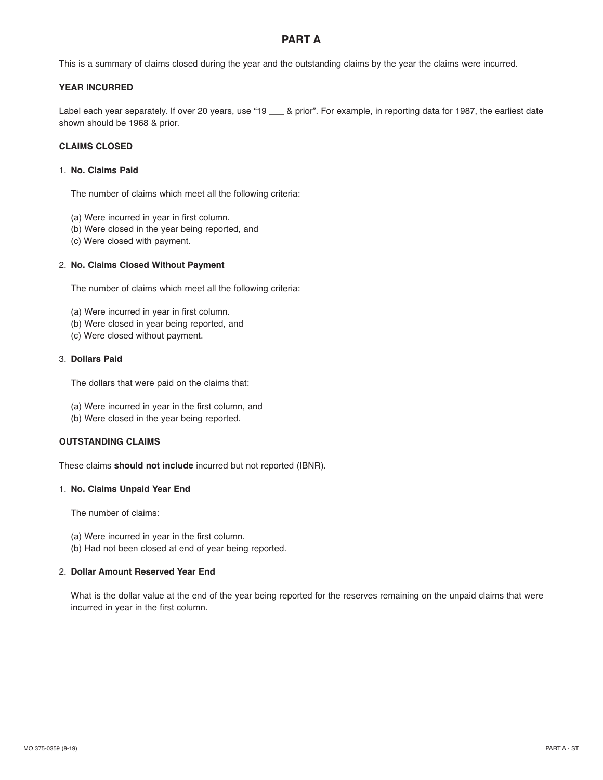### **PART A**

This is a summary of claims closed during the year and the outstanding claims by the year the claims were incurred.

### **YEAR INCURRED**

Label each year separately. If over 20 years, use "19 \_\_\_ & prior". For example, in reporting data for 1987, the earliest date shown should be 1968 & prior.

### **CLAIMS CLOSED**

#### 1. **No. Claims Paid**

The number of claims which meet all the following criteria:

- (a) Were incurred in year in first column.
- (b) Were closed in the year being reported, and
- (c) Were closed with payment.

#### 2. **No. Claims Closed Without Payment**

The number of claims which meet all the following criteria:

- (a) Were incurred in year in first column.
- (b) Were closed in year being reported, and
- (c) Were closed without payment.

#### 3. **Dollars Paid**

The dollars that were paid on the claims that:

- (a) Were incurred in year in the first column, and
- (b) Were closed in the year being reported.

#### **OUTSTANDING CLAIMS**

These claims **should not include** incurred but not reported (IBNR).

#### 1. **No. Claims Unpaid Year End**

The number of claims:

- (a) Were incurred in year in the first column.
- (b) Had not been closed at end of year being reported.

#### 2. **Dollar Amount Reserved Year End**

What is the dollar value at the end of the year being reported for the reserves remaining on the unpaid claims that were incurred in year in the first column.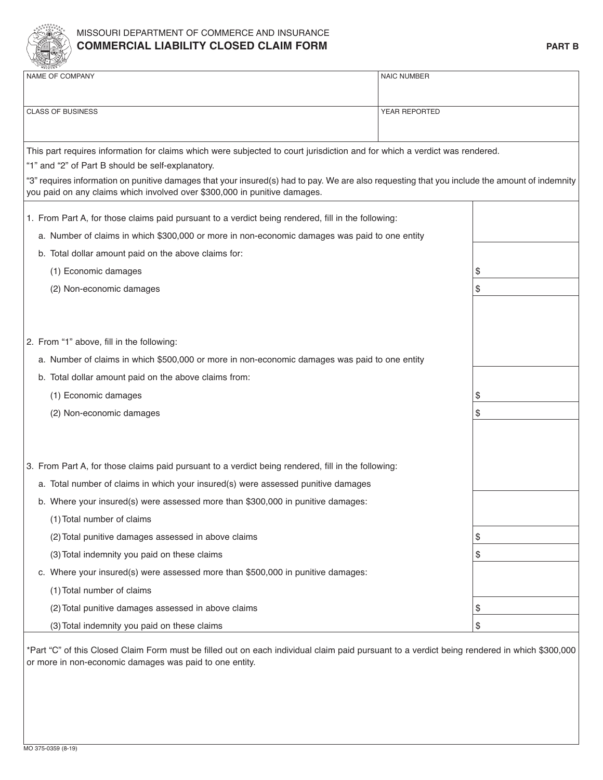

## missouri Department of CommerCe anD insuranCe **COMMERCIAL LIABILITY CLOSED CLAIM FORM PART B**

|                                           | <b>REGISTER OF</b>                                                                                                                                                                                                         |                    |    |  |  |  |
|-------------------------------------------|----------------------------------------------------------------------------------------------------------------------------------------------------------------------------------------------------------------------------|--------------------|----|--|--|--|
|                                           | NAME OF COMPANY                                                                                                                                                                                                            | <b>NAIC NUMBER</b> |    |  |  |  |
|                                           |                                                                                                                                                                                                                            |                    |    |  |  |  |
| <b>CLASS OF BUSINESS</b><br>YEAR REPORTED |                                                                                                                                                                                                                            |                    |    |  |  |  |
|                                           |                                                                                                                                                                                                                            |                    |    |  |  |  |
|                                           | This part requires information for claims which were subjected to court jurisdiction and for which a verdict was rendered.                                                                                                 |                    |    |  |  |  |
|                                           | "1" and "2" of Part B should be self-explanatory.                                                                                                                                                                          |                    |    |  |  |  |
|                                           | "3" requires information on punitive damages that your insured(s) had to pay. We are also requesting that you include the amount of indemnity<br>you paid on any claims which involved over \$300,000 in punitive damages. |                    |    |  |  |  |
|                                           |                                                                                                                                                                                                                            |                    |    |  |  |  |
|                                           | 1. From Part A, for those claims paid pursuant to a verdict being rendered, fill in the following:                                                                                                                         |                    |    |  |  |  |
|                                           | a. Number of claims in which \$300,000 or more in non-economic damages was paid to one entity                                                                                                                              |                    |    |  |  |  |
|                                           | b. Total dollar amount paid on the above claims for:                                                                                                                                                                       |                    |    |  |  |  |
|                                           | (1) Economic damages                                                                                                                                                                                                       |                    | \$ |  |  |  |
|                                           | (2) Non-economic damages                                                                                                                                                                                                   |                    | \$ |  |  |  |
|                                           |                                                                                                                                                                                                                            |                    |    |  |  |  |
|                                           |                                                                                                                                                                                                                            |                    |    |  |  |  |
|                                           | 2. From "1" above, fill in the following:                                                                                                                                                                                  |                    |    |  |  |  |
|                                           | a. Number of claims in which \$500,000 or more in non-economic damages was paid to one entity                                                                                                                              |                    |    |  |  |  |
|                                           | b. Total dollar amount paid on the above claims from:                                                                                                                                                                      |                    |    |  |  |  |
|                                           | (1) Economic damages                                                                                                                                                                                                       |                    | \$ |  |  |  |
|                                           | (2) Non-economic damages                                                                                                                                                                                                   |                    | \$ |  |  |  |
|                                           |                                                                                                                                                                                                                            |                    |    |  |  |  |
|                                           |                                                                                                                                                                                                                            |                    |    |  |  |  |
|                                           | 3. From Part A, for those claims paid pursuant to a verdict being rendered, fill in the following:                                                                                                                         |                    |    |  |  |  |
|                                           | a. Total number of claims in which your insured(s) were assessed punitive damages                                                                                                                                          |                    |    |  |  |  |
|                                           | b. Where your insured(s) were assessed more than \$300,000 in punitive damages:                                                                                                                                            |                    |    |  |  |  |
|                                           | (1) Total number of claims                                                                                                                                                                                                 |                    |    |  |  |  |
|                                           | (2) Total punitive damages assessed in above claims                                                                                                                                                                        |                    | \$ |  |  |  |
|                                           | (3) Total indemnity you paid on these claims                                                                                                                                                                               |                    | \$ |  |  |  |
|                                           | c. Where your insured(s) were assessed more than \$500,000 in punitive damages:                                                                                                                                            |                    |    |  |  |  |
|                                           | (1) Total number of claims                                                                                                                                                                                                 |                    |    |  |  |  |
|                                           | (2) Total punitive damages assessed in above claims                                                                                                                                                                        |                    | \$ |  |  |  |
|                                           | (3) Total indemnity you paid on these claims                                                                                                                                                                               | \$                 |    |  |  |  |
|                                           |                                                                                                                                                                                                                            |                    |    |  |  |  |

\*part "C" of this Closed Claim form must be filled out on each individual claim paid pursuant to a verdict being rendered in which \$300,000 or more in non-economic damages was paid to one entity.